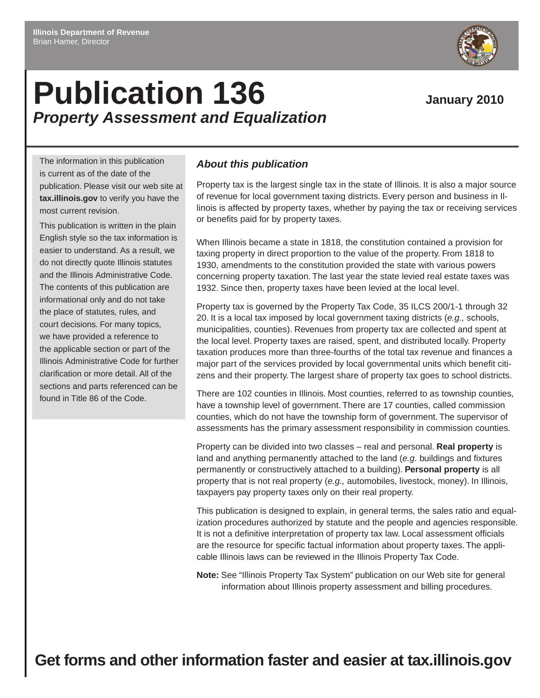# **Publication 136** January 2010 *Property Assessment and Equalization*

The information in this publication is current as of the date of the publication. Please visit our web site at **tax.illinois.gov** to verify you have the most current revision.

This publication is written in the plain English style so the tax information is easier to understand. As a result, we do not directly quote Illinois statutes and the Illinois Administrative Code. The contents of this publication are informational only and do not take the place of statutes, rules, and court decisions. For many topics, we have provided a reference to the applicable section or part of the Illinois Administrative Code for further clarification or more detail. All of the sections and parts referenced can be found in Title 86 of the Code.

## *About this publication*

Property tax is the largest single tax in the state of Illinois. It is also a major source of revenue for local government taxing districts. Every person and business in Illinois is affected by property taxes, whether by paying the tax or receiving services or benefits paid for by property taxes.

When Illinois became a state in 1818, the constitution contained a provision for taxing property in direct proportion to the value of the property. From 1818 to 1930, amendments to the constitution provided the state with various powers concerning property taxation. The last year the state levied real estate taxes was 1932. Since then, property taxes have been levied at the local level.

Property tax is governed by the Property Tax Code, 35 ILCS 200/1-1 through 32 20. It is a local tax imposed by local government taxing districts (*e.g.,* schools, municipalities, counties). Revenues from property tax are collected and spent at the local level. Property taxes are raised, spent, and distributed locally. Property taxation produces more than three-fourths of the total tax revenue and finances a major part of the services provided by local governmental units which benefit citizens and their property. The largest share of property tax goes to school districts.

There are 102 counties in Illinois. Most counties, referred to as township counties, have a township level of government. There are 17 counties, called commission counties, which do not have the township form of government. The supervisor of assessments has the primary assessment responsibility in commission counties.

Property can be divided into two classes – real and personal. **Real property** is land and anything permanently attached to the land (*e.g.* buildings and fixtures permanently or constructively attached to a building). **Personal property** is all property that is not real property (*e.g.,* automobiles, livestock, money). In Illinois, taxpayers pay property taxes only on their real property.

This publication is designed to explain, in general terms, the sales ratio and equalization procedures authorized by statute and the people and agencies responsible. It is not a definitive interpretation of property tax law. Local assessment officials are the resource for specific factual information about property taxes. The applicable Illinois laws can be reviewed in the Illinois Property Tax Code.

**Note:** See "Illinois Property Tax System" publication on our Web site for general information about Illinois property assessment and billing procedures.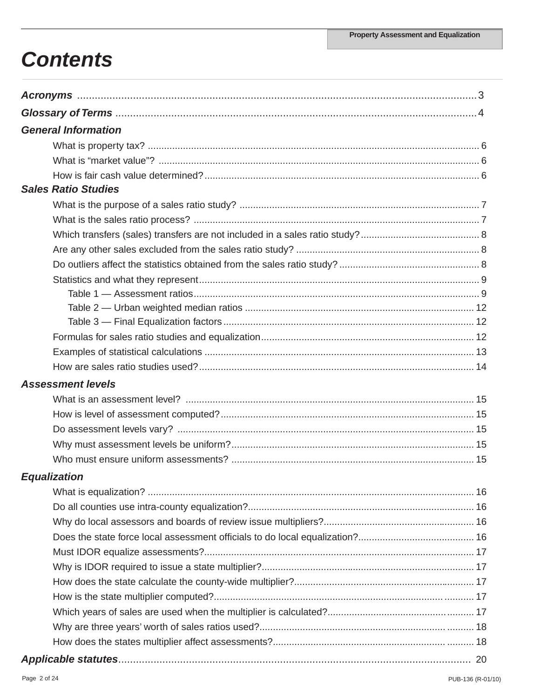# **Contents**

| <b>General Information</b> |  |
|----------------------------|--|
|                            |  |
|                            |  |
|                            |  |
| <b>Sales Ratio Studies</b> |  |
|                            |  |
|                            |  |
|                            |  |
|                            |  |
|                            |  |
|                            |  |
|                            |  |
|                            |  |
|                            |  |
|                            |  |
|                            |  |
|                            |  |
| <b>Assessment levels</b>   |  |
|                            |  |
|                            |  |
|                            |  |
|                            |  |
|                            |  |
| <b>Equalization</b>        |  |
|                            |  |
|                            |  |
|                            |  |
|                            |  |
|                            |  |
|                            |  |
|                            |  |
|                            |  |
|                            |  |
|                            |  |
|                            |  |
|                            |  |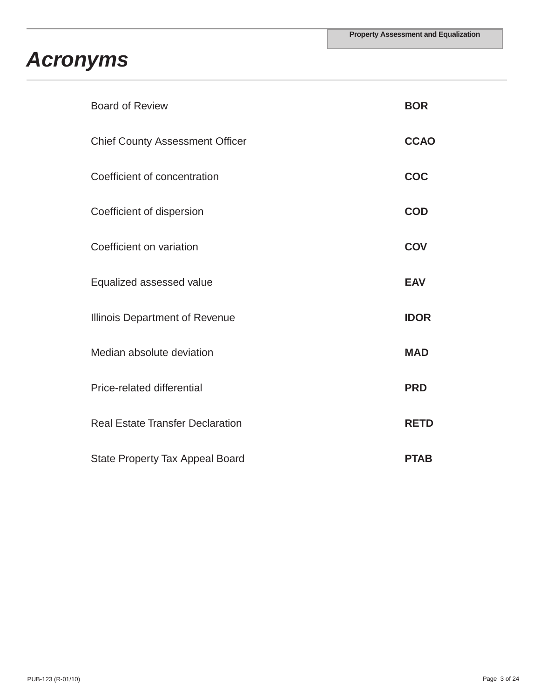# *Acronyms*

| <b>Board of Review</b>                  | <b>BOR</b>  |
|-----------------------------------------|-------------|
| <b>Chief County Assessment Officer</b>  | <b>CCAO</b> |
| Coefficient of concentration            | <b>COC</b>  |
| Coefficient of dispersion               | <b>COD</b>  |
| Coefficient on variation                | <b>COV</b>  |
| Equalized assessed value                | <b>EAV</b>  |
| Illinois Department of Revenue          | <b>IDOR</b> |
| Median absolute deviation               | <b>MAD</b>  |
| Price-related differential              | <b>PRD</b>  |
| <b>Real Estate Transfer Declaration</b> | <b>RETD</b> |
| <b>State Property Tax Appeal Board</b>  | <b>PTAB</b> |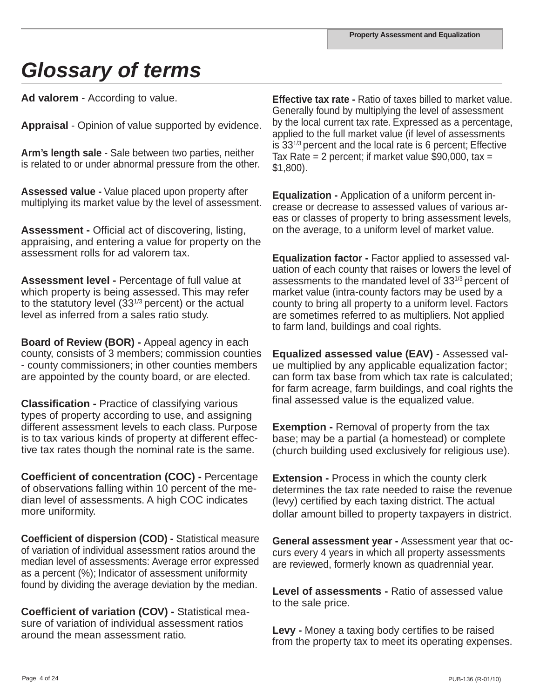# *Glossary of terms*

**Ad valorem** - According to value.

**Appraisal** - Opinion of value supported by evidence.

**Arm's length sale** - Sale between two parties, neither is related to or under abnormal pressure from the other.

**Assessed value -** Value placed upon property after multiplying its market value by the level of assessment.

**Assessment -** Official act of discovering, listing, appraising, and entering a value for property on the assessment rolls for ad valorem tax.

**Assessment level -** Percentage of full value at which property is being assessed. This may refer to the statutory level  $(33^{1/3})$  percent) or the actual level as inferred from a sales ratio study.

**Board of Review (BOR) -** Appeal agency in each county, consists of 3 members; commission counties - county commissioners; in other counties members are appointed by the county board, or are elected.

**Classification -** Practice of classifying various types of property according to use, and assigning different assessment levels to each class. Purpose is to tax various kinds of property at different effective tax rates though the nominal rate is the same.

**Coefficient of concentration (COC) -** Percentage of observations falling within 10 percent of the median level of assessments. A high COC indicates more uniformity.

**Coefficient of dispersion (COD) -** Statistical measure of variation of individual assessment ratios around the median level of assessments: Average error expressed as a percent (%); Indicator of assessment uniformity found by dividing the average deviation by the median.

**Coefficient of variation (COV) -** Statistical measure of variation of individual assessment ratios around the mean assessment ratio.

**Effective tax rate -** Ratio of taxes billed to market value. Generally found by multiplying the level of assessment by the local current tax rate. Expressed as a percentage, applied to the full market value (if level of assessments is 331/3 percent and the local rate is 6 percent; Effective Tax Rate  $= 2$  percent; if market value \$90,000, tax  $=$ \$1,800).

**Equalization -** Application of a uniform percent increase or decrease to assessed values of various areas or classes of property to bring assessment levels, on the average, to a uniform level of market value.

**Equalization factor -** Factor applied to assessed valuation of each county that raises or lowers the level of assessments to the mandated level of 331/3 percent of market value (intra-county factors may be used by a county to bring all property to a uniform level. Factors are sometimes referred to as multipliers. Not applied to farm land, buildings and coal rights.

**Equalized assessed value (EAV)** - Assessed value multiplied by any applicable equalization factor; can form tax base from which tax rate is calculated; for farm acreage, farm buildings, and coal rights the final assessed value is the equalized value.

**Exemption -** Removal of property from the tax base; may be a partial (a homestead) or complete (church building used exclusively for religious use).

**Extension -** Process in which the county clerk determines the tax rate needed to raise the revenue (levy) certified by each taxing district. The actual dollar amount billed to property taxpayers in district.

**General assessment year -** Assessment year that occurs every 4 years in which all property assessments are reviewed, formerly known as quadrennial year.

**Level of assessments -** Ratio of assessed value to the sale price.

**Levy -** Money a taxing body certifies to be raised from the property tax to meet its operating expenses.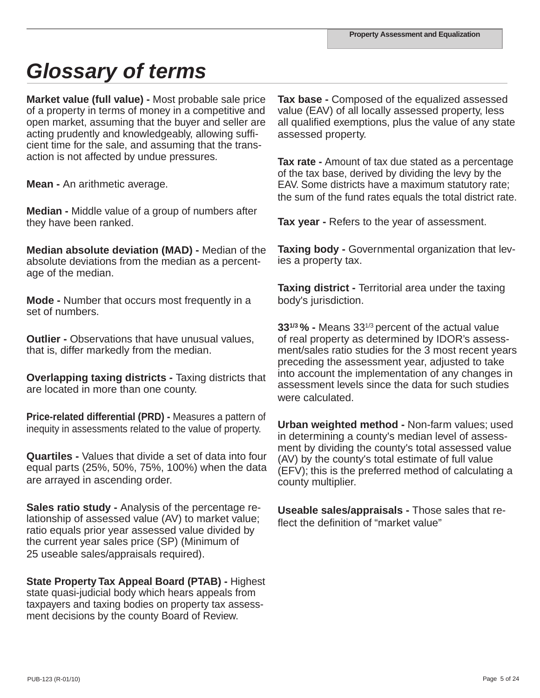# *Glossary of terms*

**Market value (full value) -** Most probable sale price of a property in terms of money in a competitive and open market, assuming that the buyer and seller are acting prudently and knowledgeably, allowing sufficient time for the sale, and assuming that the transaction is not affected by undue pressures.

**Mean -** An arithmetic average.

**Median -** Middle value of a group of numbers after they have been ranked.

**Median absolute deviation (MAD) -** Median of the absolute deviations from the median as a percentage of the median.

**Mode -** Number that occurs most frequently in a set of numbers.

**Outlier - Observations that have unusual values.** that is, differ markedly from the median.

**Overlapping taxing districts -** Taxing districts that are located in more than one county.

**Price-related differential (PRD) -** Measures a pattern of inequity in assessments related to the value of property.

**Quartiles -** Values that divide a set of data into four equal parts (25%, 50%, 75%, 100%) when the data are arrayed in ascending order.

**Sales ratio study -** Analysis of the percentage relationship of assessed value (AV) to market value; ratio equals prior year assessed value divided by the current year sales price (SP) (Minimum of 25 useable sales/appraisals required).

**State Property Tax Appeal Board (PTAB) -** Highest state quasi-judicial body which hears appeals from taxpayers and taxing bodies on property tax assessment decisions by the county Board of Review.

**Tax base -** Composed of the equalized assessed value (EAV) of all locally assessed property, less all qualified exemptions, plus the value of any state assessed property.

**Tax rate -** Amount of tax due stated as a percentage of the tax base, derived by dividing the levy by the EAV. Some districts have a maximum statutory rate; the sum of the fund rates equals the total district rate.

**Tax year -** Refers to the year of assessment.

**Taxing body -** Governmental organization that levies a property tax.

**Taxing district -** Territorial area under the taxing body's jurisdiction.

**331/3 % -** Means 331/3 percent of the actual value of real property as determined by IDOR's assessment/sales ratio studies for the 3 most recent years preceding the assessment year, adjusted to take into account the implementation of any changes in assessment levels since the data for such studies were calculated.

**Urban weighted method -** Non-farm values; used in determining a county's median level of assessment by dividing the county's total assessed value (AV) by the county's total estimate of full value (EFV); this is the preferred method of calculating a county multiplier.

**Useable sales/appraisals -** Those sales that reflect the definition of "market value"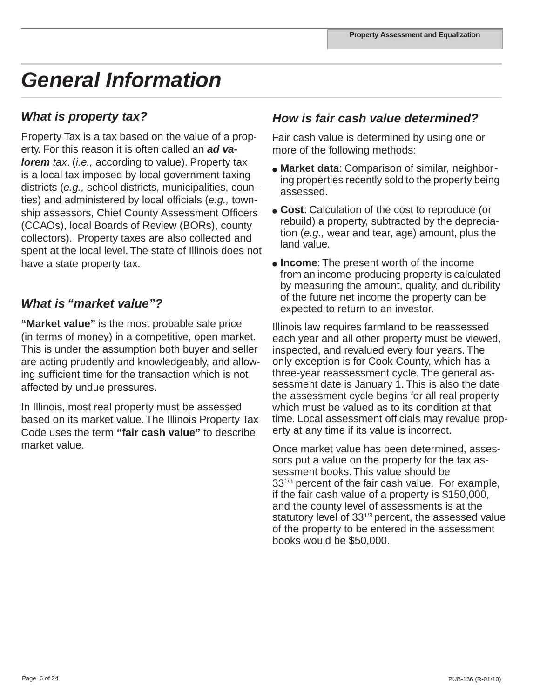# *General Information*

## *What is property tax?*

Property Tax is a tax based on the value of a property. For this reason it is often called an *ad valorem tax.* (*i.e.*, according to value). Property tax is a local tax imposed by local government taxing districts (*e.g.,* school districts, municipalities, counties) and administered by local officials (*e.g.,* township assessors, Chief County Assessment Officers (CCAOs), local Boards of Review (BORs), county collectors). Property taxes are also collected and spent at the local level. The state of Illinois does not have a state property tax.

## *What is "market value"?*

**"Market value"** is the most probable sale price (in terms of money) in a competitive, open market. This is under the assumption both buyer and seller are acting prudently and knowledgeably, and allowing sufficient time for the transaction which is not affected by undue pressures.

In Illinois, most real property must be assessed based on its market value. The Illinois Property Tax Code uses the term **"fair cash value"** to describe market value.

## *How is fair cash value determined?*

Fair cash value is determined by using one or more of the following methods:

- **Market data**: Comparison of similar, neighboring properties recently sold to the property being assessed.
- **Cost**: Calculation of the cost to reproduce (or rebuild) a property, subtracted by the depreciation (*e.g.,* wear and tear, age) amount, plus the land value.
- **Income**: The present worth of the income from an income-producing property is calculated by measuring the amount, quality, and duribility of the future net income the property can be expected to return to an investor.

Illinois law requires farmland to be reassessed each year and all other property must be viewed, inspected, and revalued every four years. The only exception is for Cook County, which has a three-year reassessment cycle. The general assessment date is January 1. This is also the date the assessment cycle begins for all real property which must be valued as to its condition at that time. Local assessment officials may revalue property at any time if its value is incorrect.

Once market value has been determined, assessors put a value on the property for the tax assessment books. This value should be 33<sup>1/3</sup> percent of the fair cash value. For example, if the fair cash value of a property is \$150,000, and the county level of assessments is at the statutory level of  $33^{1/3}$  percent, the assessed value of the property to be entered in the assessment books would be \$50,000.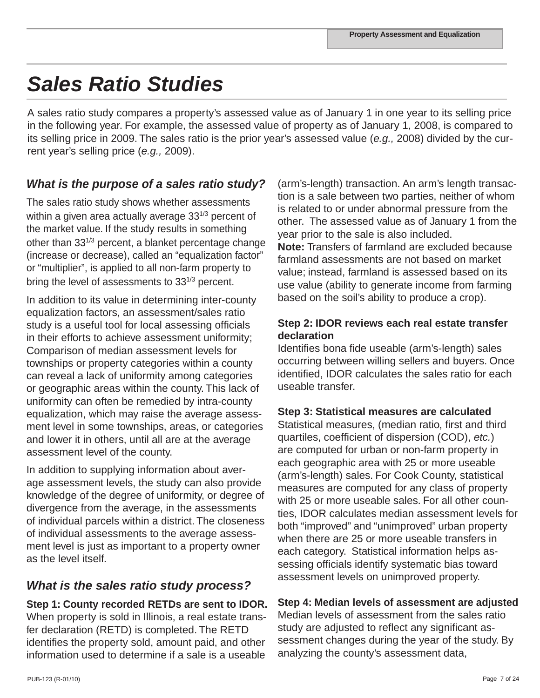# *Sales Ratio Studies*

A sales ratio study compares a property's assessed value as of January 1 in one year to its selling price in the following year. For example, the assessed value of property as of January 1, 2008, is compared to its selling price in 2009. The sales ratio is the prior year's assessed value (*e.g.,* 2008) divided by the current year's selling price (*e.g.,* 2009).

# *What is the purpose of a sales ratio study?*

The sales ratio study shows whether assessments within a given area actually average 33<sup>1/3</sup> percent of the market value. If the study results in something other than 331/3 percent, a blanket percentage change (increase or decrease), called an "equalization factor" or "multiplier", is applied to all non-farm property to bring the level of assessments to  $33^{1/3}$  percent.

In addition to its value in determining inter-county equalization factors, an assessment/sales ratio study is a useful tool for local assessing officials in their efforts to achieve assessment uniformity; Comparison of median assessment levels for townships or property categories within a county can reveal a lack of uniformity among categories or geographic areas within the county. This lack of uniformity can often be remedied by intra-county equalization, which may raise the average assessment level in some townships, areas, or categories and lower it in others, until all are at the average assessment level of the county.

In addition to supplying information about average assessment levels, the study can also provide knowledge of the degree of uniformity, or degree of divergence from the average, in the assessments of individual parcels within a district. The closeness of individual assessments to the average assessment level is just as important to a property owner as the level itself.

# *What is the sales ratio study process?*

**Step 1: County recorded RETDs are sent to IDOR.**  When property is sold in Illinois, a real estate transfer declaration (RETD) is completed. The RETD identifies the property sold, amount paid, and other information used to determine if a sale is a useable

(arm's-length) transaction. An arm's length transaction is a sale between two parties, neither of whom is related to or under abnormal pressure from the other. The assessed value as of January 1 from the year prior to the sale is also included. **Note:** Transfers of farmland are excluded because farmland assessments are not based on market value; instead, farmland is assessed based on its use value (ability to generate income from farming based on the soil's ability to produce a crop).

## **Step 2: IDOR reviews each real estate transfer declaration**

Identifies bona fide useable (arm's-length) sales occurring between willing sellers and buyers. Once identified, IDOR calculates the sales ratio for each useable transfer.

## **Step 3: Statistical measures are calculated**

Statistical measures, (median ratio, first and third quartiles, coefficient of dispersion (COD), *etc.*) are computed for urban or non-farm property in each geographic area with 25 or more useable (arm's-length) sales. For Cook County, statistical measures are computed for any class of property with 25 or more useable sales. For all other counties, IDOR calculates median assessment levels for both "improved" and "unimproved" urban property when there are 25 or more useable transfers in each category. Statistical information helps assessing officials identify systematic bias toward assessment levels on unimproved property.

## **Step 4: Median levels of assessment are adjusted**

Median levels of assessment from the sales ratio study are adjusted to reflect any significant assessment changes during the year of the study. By analyzing the county's assessment data,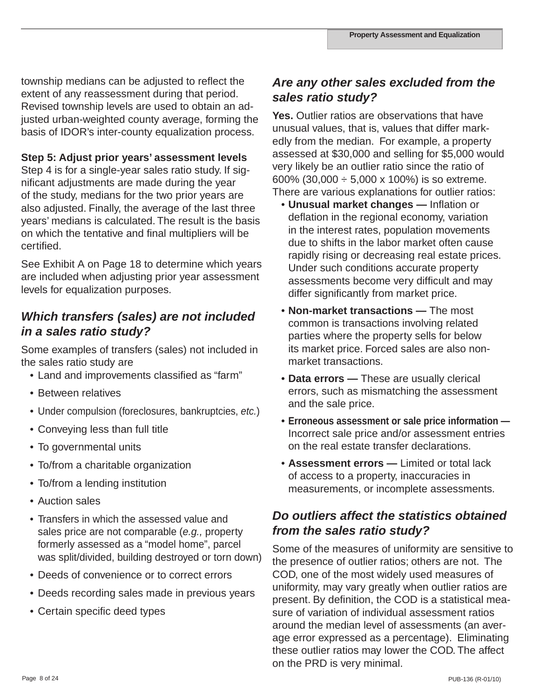township medians can be adjusted to reflect the extent of any reassessment during that period. Revised township levels are used to obtain an adjusted urban-weighted county average, forming the basis of IDOR's inter-county equalization process.

## **Step 5: Adjust prior years' assessment levels**

Step 4 is for a single-year sales ratio study. If significant adjustments are made during the year of the study, medians for the two prior years are also adjusted. Finally, the average of the last three years' medians is calculated. The result is the basis on which the tentative and final multipliers will be certified.

See Exhibit A on Page 18 to determine which years are included when adjusting prior year assessment levels for equalization purposes.

## *Which transfers (sales) are not included in a sales ratio study?*

Some examples of transfers (sales) not included in the sales ratio study are

- Land and improvements classified as "farm"
- Between relatives
- Under compulsion (foreclosures, bankruptcies, *etc.*)
- Conveying less than full title
- To governmental units
- To/from a charitable organization
- To/from a lending institution
- Auction sales
- Transfers in which the assessed value and sales price are not comparable (*e.g.,* property formerly assessed as a "model home", parcel was split/divided, building destroyed or torn down)
- Deeds of convenience or to correct errors
- Deeds recording sales made in previous years
- Certain specific deed types

## *Are any other sales excluded from the sales ratio study?*

**Yes.** Outlier ratios are observations that have unusual values, that is, values that differ markedly from the median. For example, a property assessed at \$30,000 and selling for \$5,000 would very likely be an outlier ratio since the ratio of 600% (30,000  $\div$  5,000 x 100%) is so extreme. There are various explanations for outlier ratios:

- **Unusual market changes** Inflation or deflation in the regional economy, variation in the interest rates, population movements due to shifts in the labor market often cause rapidly rising or decreasing real estate prices. Under such conditions accurate property assessments become very difficult and may differ significantly from market price.
- **Non-market transactions** The most common is transactions involving related parties where the property sells for below its market price. Forced sales are also non market transactions.
- **Data errors** These are usually clerical errors, such as mismatching the assessment and the sale price.
- **Erroneous assessment or sale price information —** Incorrect sale price and/or assessment entries on the real estate transfer declarations.
- **Assessment errors —** Limited or total lack of access to a property, inaccuracies in measurements, or incomplete assessments.

# *Do outliers affect the statistics obtained from the sales ratio study?*

Some of the measures of uniformity are sensitive to the presence of outlier ratios; others are not. The COD, one of the most widely used measures of uniformity, may vary greatly when outlier ratios are present. By definition, the COD is a statistical measure of variation of individual assessment ratios around the median level of assessments (an average error expressed as a percentage). Eliminating these outlier ratios may lower the COD. The affect on the PRD is very minimal.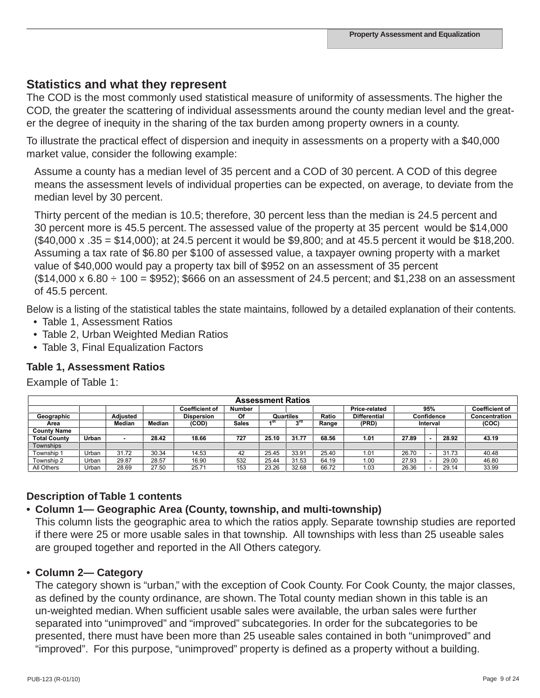## **Statistics and what they represent**

The COD is the most commonly used statistical measure of uniformity of assessments. The higher the COD, the greater the scattering of individual assessments around the county median level and the greater the degree of inequity in the sharing of the tax burden among property owners in a county.

To illustrate the practical effect of dispersion and inequity in assessments on a property with a \$40,000 market value, consider the following example:

Assume a county has a median level of 35 percent and a COD of 30 percent. A COD of this degree means the assessment levels of individual properties can be expected, on average, to deviate from the median level by 30 percent.

Thirty percent of the median is 10.5; therefore, 30 percent less than the median is 24.5 percent and 30 percent more is 45.5 percent. The assessed value of the property at 35 percent would be \$14,000 (\$40,000 x .35 = \$14,000); at 24.5 percent it would be \$9,800; and at 45.5 percent it would be \$18,200. Assuming a tax rate of \$6.80 per \$100 of assessed value, a taxpayer owning property with a market value of \$40,000 would pay a property tax bill of \$952 on an assessment of 35 percent  $($14,000 \times 6.80 \div 100 = $952)$ ; \$666 on an assessment of 24.5 percent; and \$1,238 on an assessment of 45.5 percent.

Below is a listing of the statistical tables the state maintains, followed by a detailed explanation of their contents.

- Table 1, Assessment Ratios
- Table 2, Urban Weighted Median Ratios
- Table 3, Final Equalization Factors

## **Table 1, Assessment Ratios**

Example of Table 1:

|                     |       |                 |        |                       |              |       | <b>Assessment Ratios</b> |       |                     |       |                          |       |                       |
|---------------------|-------|-----------------|--------|-----------------------|--------------|-------|--------------------------|-------|---------------------|-------|--------------------------|-------|-----------------------|
|                     |       |                 |        | <b>Coefficient of</b> | Number       |       |                          |       | Price-related       |       | 95%                      |       | <b>Coefficient of</b> |
| Geographic          |       | <b>Adiusted</b> |        | <b>Dispersion</b>     | Of           |       | Quartiles                | Ratio | <b>Differential</b> |       | Confidence               |       | Concentration         |
| Area                |       | Median          | Median | (COD)                 | <b>Sales</b> | ⊿st   | ord                      | Range | (PRD)               |       | Interval                 |       | (COC)                 |
| <b>County Name</b>  |       |                 |        |                       |              |       |                          |       |                     |       |                          |       |                       |
| <b>Total County</b> | Urban |                 | 28.42  | 18.66                 | 727          | 25.10 | 31.77                    | 68.56 | 1.01                | 27.89 |                          | 28.92 | 43.19                 |
| Townships           |       |                 |        |                       |              |       |                          |       |                     |       |                          |       |                       |
| Township 1          | Urban | 31.72           | 30.34  | 14.53                 | 42           | 25.45 | 33.91                    | 25.40 | 1.01                | 26.70 | $\overline{\phantom{0}}$ | 31.73 | 40.48                 |
| Township 2          | Urban | 29.87           | 28.57  | 16.90                 | 532          | 25.44 | 31.53                    | 64.19 | 1.00                | 27.93 |                          | 29.00 | 46.80                 |
| All Others          | Urban | 28.69           | 27.50  | 25.71                 | 153          | 23.26 | 32.68                    | 66.72 | 1.03                | 26.36 |                          | 29.14 | 33.99                 |

## **Description of Table 1 contents**

### **• Column 1— Geographic Area (County, township, and multi-township)**

This column lists the geographic area to which the ratios apply. Separate township studies are reported if there were 25 or more usable sales in that township. All townships with less than 25 useable sales are grouped together and reported in the All Others category.

### • **Column 2— Category**

The category shown is "urban," with the exception of Cook County. For Cook County, the major classes, as defined by the county ordinance, are shown. The Total county median shown in this table is an un-weighted median. When sufficient usable sales were available, the urban sales were further separated into "unimproved" and "improved" subcategories. In order for the subcategories to be presented, there must have been more than 25 useable sales contained in both "unimproved" and "improved". For this purpose, "unimproved" property is defined as a property without a building.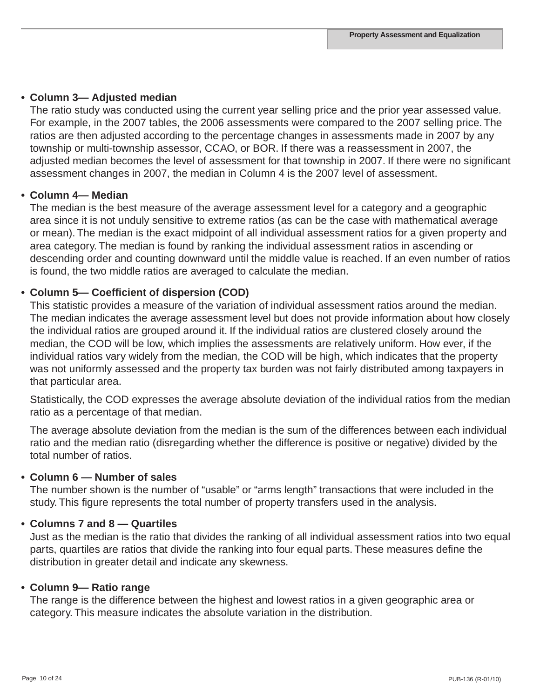### **• Column 3— Adjusted median**

The ratio study was conducted using the current year selling price and the prior year assessed value. For example, in the 2007 tables, the 2006 assessments were compared to the 2007 selling price. The ratios are then adjusted according to the percentage changes in assessments made in 2007 by any township or multi-township assessor, CCAO, or BOR. If there was a reassessment in 2007, the adjusted median becomes the level of assessment for that township in 2007. If there were no significant assessment changes in 2007, the median in Column 4 is the 2007 level of assessment.

### **• Column 4— Median**

The median is the best measure of the average assessment level for a category and a geographic area since it is not unduly sensitive to extreme ratios (as can be the case with mathematical average or mean). The median is the exact midpoint of all individual assessment ratios for a given property and area category. The median is found by ranking the individual assessment ratios in ascending or descending order and counting downward until the middle value is reached. If an even number of ratios is found, the two middle ratios are averaged to calculate the median.

### **• Column 5— Coefficient of dispersion (COD)**

This statistic provides a measure of the variation of individual assessment ratios around the median. The median indicates the average assessment level but does not provide information about how closely the individual ratios are grouped around it. If the individual ratios are clustered closely around the median, the COD will be low, which implies the assessments are relatively uniform. How ever, if the individual ratios vary widely from the median, the COD will be high, which indicates that the property was not uniformly assessed and the property tax burden was not fairly distributed among taxpayers in that particular area.

Statistically, the COD expresses the average absolute deviation of the individual ratios from the median ratio as a percentage of that median.

The average absolute deviation from the median is the sum of the differences between each individual ratio and the median ratio (disregarding whether the difference is positive or negative) divided by the total number of ratios.

### **• Column 6 — Number of sales**

The number shown is the number of "usable" or "arms length" transactions that were included in the study. This figure represents the total number of property transfers used in the analysis.

### **• Columns 7 and 8 — Quartiles**

Just as the median is the ratio that divides the ranking of all individual assessment ratios into two equal parts, quartiles are ratios that divide the ranking into four equal parts. These measures define the distribution in greater detail and indicate any skewness.

### **• Column 9— Ratio range**

The range is the difference between the highest and lowest ratios in a given geographic area or category. This measure indicates the absolute variation in the distribution.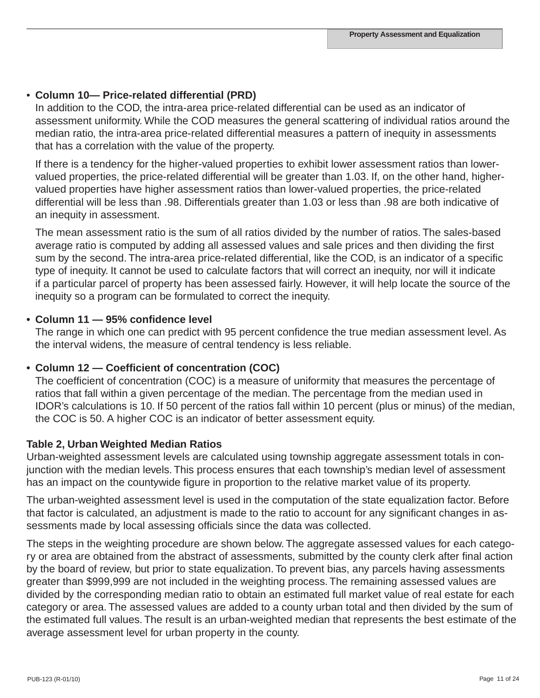## • **Column 10— Price-related differential (PRD)**

In addition to the COD, the intra-area price-related differential can be used as an indicator of assessment uniformity. While the COD measures the general scattering of individual ratios around the median ratio, the intra-area price-related differential measures a pattern of inequity in assessments that has a correlation with the value of the property.

If there is a tendency for the higher-valued properties to exhibit lower assessment ratios than lowervalued properties, the price-related differential will be greater than 1.03. If, on the other hand, highervalued properties have higher assessment ratios than lower-valued properties, the price-related differential will be less than .98. Differentials greater than 1.03 or less than .98 are both indicative of an inequity in assessment.

The mean assessment ratio is the sum of all ratios divided by the number of ratios. The sales-based average ratio is computed by adding all assessed values and sale prices and then dividing the first sum by the second. The intra-area price-related differential, like the COD, is an indicator of a specific type of inequity. It cannot be used to calculate factors that will correct an inequity, nor will it indicate if a particular parcel of property has been assessed fairly. However, it will help locate the source of the inequity so a program can be formulated to correct the inequity.

### **• Column 11 — 95% confidence level**

The range in which one can predict with 95 percent confidence the true median assessment level. As the interval widens, the measure of central tendency is less reliable.

### **• Column 12 — Coefficient of concentration (COC)**

The coefficient of concentration (COC) is a measure of uniformity that measures the percentage of ratios that fall within a given percentage of the median. The percentage from the median used in IDOR's calculations is 10. If 50 percent of the ratios fall within 10 percent (plus or minus) of the median, the COC is 50. A higher COC is an indicator of better assessment equity.

### **Table 2, Urban Weighted Median Ratios**

Urban-weighted assessment levels are calculated using township aggregate assessment totals in conjunction with the median levels. This process ensures that each township's median level of assessment has an impact on the countywide figure in proportion to the relative market value of its property.

The urban-weighted assessment level is used in the computation of the state equalization factor. Before that factor is calculated, an adjustment is made to the ratio to account for any significant changes in assessments made by local assessing officials since the data was collected.

The steps in the weighting procedure are shown below. The aggregate assessed values for each category or area are obtained from the abstract of assessments, submitted by the county clerk after final action by the board of review, but prior to state equalization. To prevent bias, any parcels having assessments greater than \$999,999 are not included in the weighting process. The remaining assessed values are divided by the corresponding median ratio to obtain an estimated full market value of real estate for each category or area. The assessed values are added to a county urban total and then divided by the sum of the estimated full values. The result is an urban-weighted median that represents the best estimate of the average assessment level for urban property in the county.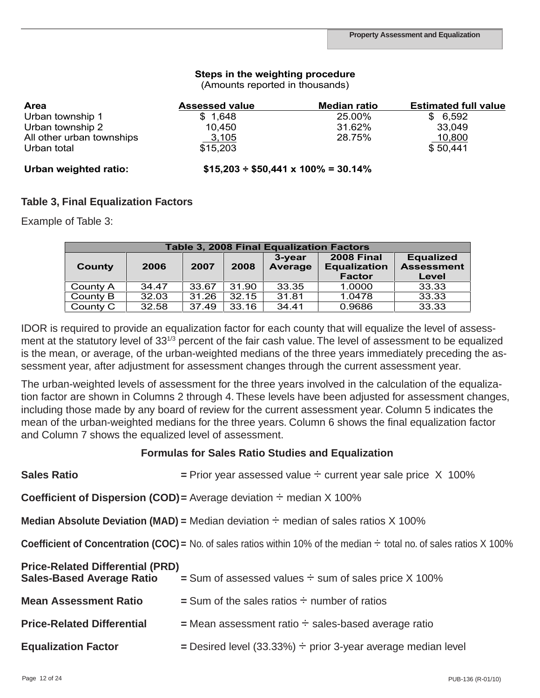#### **Steps in the weighting procedure**

(Amounts reported in thousands)

| Area                      | <b>Assessed value</b> | <b>Median ratio</b>                           | <b>Estimated full value</b> |
|---------------------------|-----------------------|-----------------------------------------------|-----------------------------|
| Urban township 1          | \$1,648               | 25.00%                                        | \$6,592                     |
| Urban township 2          | 10,450                | 31.62%                                        | 33,049                      |
| All other urban townships | 3,105                 | 28.75%                                        | 10,800                      |
| Urban total               | \$15,203              |                                               | \$50,441                    |
| Urban weighted ratio:     |                       | $$15,203 \div $50,441 \times 100\% = 30.14\%$ |                             |

# **Table 3, Final Equalization Factors**

Example of Table 3: Final Equalization Factors Factors Factors Factors Factors Factors Factors Factors Factors F<br>**Example of Table 3:** Final Equalization Factors Factors Factors Factors Factors Factors Factors Factors Fact

|          |       |       |       | <b>Table 3, 2008 Final Equalization Factors</b> |                                          |                                       |
|----------|-------|-------|-------|-------------------------------------------------|------------------------------------------|---------------------------------------|
| County   | 2006  | 2007  | 2008  | $3$ -vear<br>Average                            | <b>2008 Final</b><br><b>Equalization</b> | <b>Equalized</b><br><b>Assessment</b> |
|          |       |       |       |                                                 | <b>Factor</b>                            | Level                                 |
| County A | 34.47 | 33.67 | 31.90 | 33.35                                           | 1.0000                                   | 33.33                                 |
| County B | 32.03 | 31.26 | 32.15 | 31.81                                           | 1.0478                                   | 33.33                                 |
| County C | 32.58 | 37.49 | 33.16 | 34.41                                           | 0.9686                                   | 33.33                                 |

IDOR is required to provide an equalization factor for each county that will equalize the level of assessment at the statutory level of 33<sup>1/3</sup> percent of the fair cash value. The level of assessment to be equalized is the mean, or average, of the urban-weighted medians of the three years immediately preceding the assessment year, after adjustment for assessment changes through the current assessment year.

The urban-weighted levels of assessment for the three years involved in the calculation of the equalization factor are shown in Columns 2 through 4. These levels have been adjusted for assessment changes, including those made by any board of review for the current assessment year. Column 5 indicates the mean of the urban-weighted medians for the three years. Column 6 shows the final equalization factor and Column 7 shows the equalized level of assessment.

#### **Formulas for Sales Ratio Studies and Equalization**

| <b>Sales Ratio</b>                                                          | = Prior year assessed value $\div$ current year sale price $\chi$ 100%                                                           |
|-----------------------------------------------------------------------------|----------------------------------------------------------------------------------------------------------------------------------|
|                                                                             | <b>Coefficient of Dispersion (COD)</b> = Average deviation $\div$ median X 100%                                                  |
|                                                                             | <b>Median Absolute Deviation (MAD) =</b> Median deviation $\div$ median of sales ratios X 100%                                   |
|                                                                             | <b>Coefficient of Concentration (COC)</b> = No. of sales ratios within 10% of the median $\div$ total no. of sales ratios X 100% |
| <b>Price-Related Differential (PRD)</b><br><b>Sales-Based Average Ratio</b> | $=$ Sum of assessed values $\div$ sum of sales price X 100%                                                                      |
| <b>Mean Assessment Ratio</b>                                                | $=$ Sum of the sales ratios $\div$ number of ratios                                                                              |
| <b>Price-Related Differential</b>                                           | $=$ Mean assessment ratio $\div$ sales-based average ratio                                                                       |
| <b>Equalization Factor</b>                                                  | $=$ Desired level (33.33%) $\div$ prior 3-year average median level                                                              |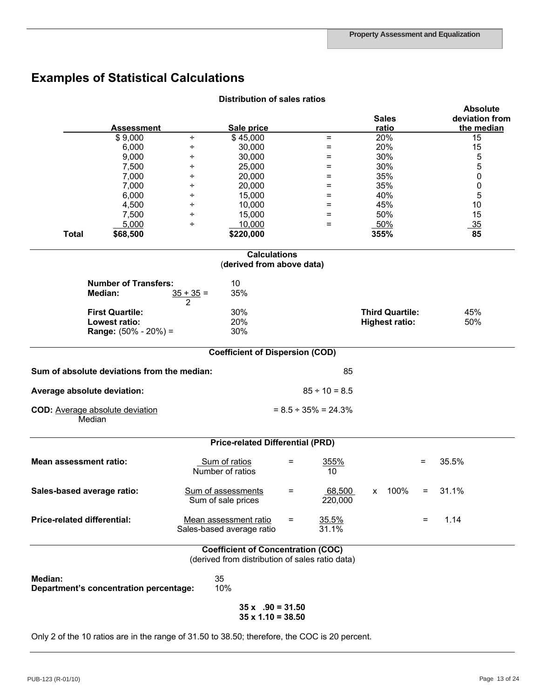# **Examples of Statistical Calculations**

|                               | <b>Assessment</b>                           | Sale price                                                                                    |                            |                   |      | <b>Sales</b><br>ratio  |     |       | <b>Absolute</b><br>deviation from<br>the median |
|-------------------------------|---------------------------------------------|-----------------------------------------------------------------------------------------------|----------------------------|-------------------|------|------------------------|-----|-------|-------------------------------------------------|
|                               | \$9,000                                     | \$45,000<br>÷                                                                                 |                            | $=$               |      | 20%                    |     |       | 15                                              |
|                               | 6,000                                       | 30,000<br>÷                                                                                   |                            | =                 |      | 20%                    |     |       | 15                                              |
|                               | 9,000                                       | 30,000<br>÷                                                                                   |                            | $=$               |      | 30%                    |     |       | 5                                               |
|                               | 7,500                                       | 25,000<br>÷                                                                                   |                            | $=$               |      | 30%                    |     |       | 5                                               |
|                               | 7,000                                       | 20,000<br>÷                                                                                   |                            | $=$               |      | 35%                    |     |       | 0                                               |
|                               | 7,000                                       | 20,000<br>÷                                                                                   |                            | Ξ                 |      | 35%                    |     |       | 0                                               |
|                               | 6,000                                       | 15,000<br>÷                                                                                   |                            | $=$               |      | 40%                    |     |       | 5                                               |
|                               | 4,500                                       | 10,000<br>÷                                                                                   |                            | $=$               |      | 45%                    |     |       | 10                                              |
|                               | 7,500                                       | 15,000<br>÷                                                                                   |                            | $=$               |      | 50%                    |     |       | 15                                              |
|                               | 5,000                                       | 10,000<br>÷                                                                                   |                            | $=$               |      | 50%                    |     |       | 35                                              |
| <b>Total</b>                  | \$68,500                                    | \$220,000                                                                                     |                            |                   | 355% |                        |     |       | 85                                              |
|                               |                                             | <b>Calculations</b><br>(derived from above data)                                              |                            |                   |      |                        |     |       |                                                 |
|                               |                                             |                                                                                               |                            |                   |      |                        |     |       |                                                 |
|                               | <b>Number of Transfers:</b><br>Median:      | 10<br>35%<br>$35 + 35 =$                                                                      |                            |                   |      |                        |     |       |                                                 |
|                               | <b>First Quartile:</b>                      | $\mathfrak{p}$<br>30%                                                                         |                            |                   |      | <b>Third Quartile:</b> |     |       | 45%                                             |
|                               | Lowest ratio:                               | 20%                                                                                           |                            |                   |      | <b>Highest ratio:</b>  |     |       | 50%                                             |
|                               | <b>Range:</b> $(50\% - 20\%) =$             | 30%                                                                                           |                            |                   |      |                        |     |       |                                                 |
|                               |                                             | <b>Coefficient of Dispersion (COD)</b>                                                        |                            |                   |      |                        |     |       |                                                 |
|                               | Sum of absolute deviations from the median: |                                                                                               |                            | 85                |      |                        |     |       |                                                 |
| Average absolute deviation:   |                                             |                                                                                               | $85 \div 10 = 8.5$         |                   |      |                        |     |       |                                                 |
| Median                        | COD: Average absolute deviation             |                                                                                               | $= 8.5 \div 35\% = 24.3\%$ |                   |      |                        |     |       |                                                 |
|                               |                                             | <b>Price-related Differential (PRD)</b>                                                       |                            |                   |      |                        |     |       |                                                 |
| <b>Mean assessment ratio:</b> |                                             | Sum of ratios<br>Number of ratios                                                             | $=$                        | 355%<br>10        |      |                        | $=$ | 35.5% |                                                 |
| Sales-based average ratio:    |                                             | Sum of assessments<br>Sum of sale prices                                                      | =                          | 68,500<br>220,000 |      | x 100%                 | $=$ | 31.1% |                                                 |
| Price-related differential:   |                                             | Mean assessment ratio<br>Sales-based average ratio                                            | $\equiv$                   | 35.5%<br>31.1%    |      |                        | $=$ | 1.14  |                                                 |
|                               |                                             | <b>Coefficient of Concentration (COC)</b>                                                     |                            |                   |      |                        |     |       |                                                 |
|                               |                                             | (derived from distribution of sales ratio data)                                               |                            |                   |      |                        |     |       |                                                 |
| Median:                       | Department's concentration percentage:      | 35<br>10%                                                                                     |                            |                   |      |                        |     |       |                                                 |
|                               |                                             | $35 \times 0.90 = 31.50$<br>$35 \times 1.10 = 38.50$                                          |                            |                   |      |                        |     |       |                                                 |
|                               |                                             | Only 2 of the 10 ratios are in the range of 31.50 to 38.50; therefore, the COC is 20 percent. |                            |                   |      |                        |     |       |                                                 |

#### **Distribution of sales ratios**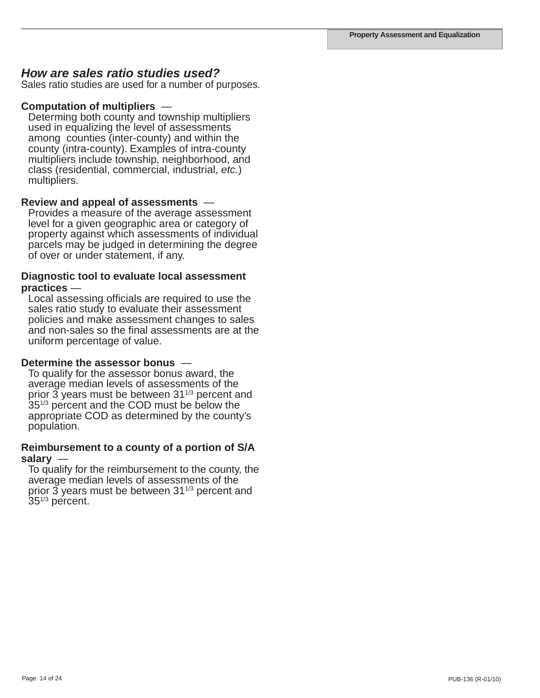### *How are sales ratio studies used?*

Sales ratio studies are used for a number of purposes.

#### **Computation of multipliers** —

Determing both county and township multipliers used in equalizing the level of assessments among counties (inter-county) and within the county (intra-county). Examples of intra-county multipliers include township, neighborhood, and class (residential, commercial, industrial, *etc.*) multipliers.

#### **Review and appeal of assessments** —

Provides a measure of the average assessment level for a given geographic area or category of property against which assessments of individual parcels may be judged in determining the degree of over or under statement, if any.

# **Diagnostic tool to evaluate local assessment practices** —<br>Local assessing officials are required to use the

sales ratio study to evaluate their assessment policies and make assessment changes to sales and non-sales so the final assessments are at the uniform percentage of value.

#### **Determine the assessor bonus** —

To qualify for the assessor bonus award, the average median levels of assessments of the prior  $\tilde{3}$  years must be between 31 $\mathrm{^{1/3}}$  percent and 35<sup>1/3</sup> percent and the COD must be below the appropriate COD as determined by the county's population.

### **Reimbursement to a county of a portion of S/A salary** —

To qualify for the reimbursement to the county, the average median levels of assessments of the<br>prior 3 years must be between 31<sup>1/3</sup> percent and  $35^{1/3}$  percent.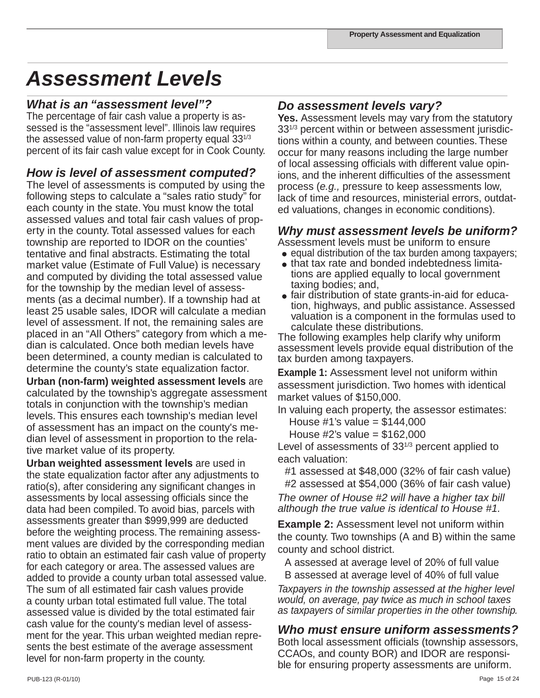# *Assessment Levels*

## *What is an "assessment level"?*

The percentage of fair cash value a property is assessed is the "assessment level". Illinois law requires the assessed value of non-farm property equal  $33^{1/3}$ percent of its fair cash value except for in Cook County.

## *How is level of assessment computed?*

The level of assessments is computed by using the following steps to calculate a "sales ratio study" for each county in the state. You must know the total assessed values and total fair cash values of property in the county. Total assessed values for each township are reported to IDOR on the counties' tentative and final abstracts. Estimating the total market value (Estimate of Full Value) is necessary and computed by dividing the total assessed value for the township by the median level of assessments (as a decimal number). If a township had at least 25 usable sales, IDOR will calculate a median level of assessment. If not, the remaining sales are placed in an "All Others" category from which a median is calculated. Once both median levels have been determined, a county median is calculated to determine the county's state equalization factor.

**Urban (non-farm) weighted assessment levels** are calculated by the township's aggregate assessment totals in conjunction with the township's median levels. This ensures each township's median level of assessment has an impact on the county's median level of assessment in proportion to the relative market value of its property.

**Urban weighted assessment levels** are used in the state equalization factor after any adjustments to ratio(s), after considering any significant changes in assessments by local assessing officials since the data had been compiled. To avoid bias, parcels with assessments greater than \$999,999 are deducted before the weighting process. The remaining assessment values are divided by the corresponding median ratio to obtain an estimated fair cash value of property for each category or area. The assessed values are added to provide a county urban total assessed value. The sum of all estimated fair cash values provide a county urban total estimated full value. The total assessed value is divided by the total estimated fair cash value for the county's median level of assessment for the year. This urban weighted median represents the best estimate of the average assessment level for non-farm property in the county.

## *Do assessment levels vary?*

**Yes.** Assessment levels may vary from the statutory 331/3 percent within or between assessment jurisdictions within a county, and between counties. These occur for many reasons including the large number of local assessing officials with different value opinions, and the inherent difficulties of the assessment process (*e.g.,* pressure to keep assessments low, lack of time and resources, ministerial errors, outdated valuations, changes in economic conditions).

## *Why must assessment levels be uniform?*

Assessment levels must be uniform to ensure

- $\bullet$  equal distribution of the tax burden among taxpayers;
- that tax rate and bonded indebtedness limita tions are applied equally to local government taxing bodies; and,
- fair distribution of state grants-in-aid for educa tion, highways, and public assistance. Assessed valuation is a component in the formulas used to calculate these distributions.

The following examples help clarify why uniform assessment levels provide equal distribution of the tax burden among taxpayers.

**Example 1:** Assessment level not uniform within assessment jurisdiction. Two homes with identical market values of \$150,000.

In valuing each property, the assessor estimates:

House #1's value =  $$144,000$ 

House  $\#2$ 's value = \$162,000

Level of assessments of 33<sup>1/3</sup> percent applied to each valuation:

#1 assessed at \$48,000 (32% of fair cash value) #2 assessed at \$54,000 (36% of fair cash value)

*The owner of House #2 will have a higher tax bill although the true value is identical to House #1.*

**Example 2:** Assessment level not uniform within the county. Two townships (A and B) within the same county and school district.

A assessed at average level of 20% of full value B assessed at average level of 40% of full value

*Taxpayers in the township assessed at the higher level would, on average, pay twice as much in school taxes as taxpayers of similar properties in the other township.*

## *Who must ensure uniform assessments?*

Both local assessment officials (township assessors, CCAOs, and county BOR) and IDOR are responsible for ensuring property assessments are uniform.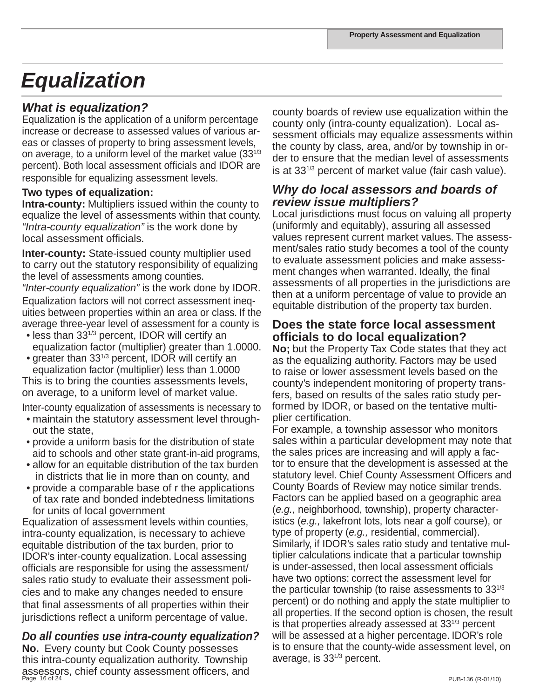# *Equalization*

## *What is equalization?*

Equalization is the application of a uniform percentage increase or decrease to assessed values of various areas or classes of property to bring assessment levels, on average, to a uniform level of the market value (331/3 percent). Both local assessment officials and IDOR are responsible for equalizing assessment levels.

### **Two types of equalization:**

**Intra-county:** Multipliers issued within the county to equalize the level of assessments within that county. *"Intra-county equalization"* is the work done by local assessment officials.

**Inter-county:** State-issued county multiplier used to carry out the statutory responsibility of equalizing the level of assessments among counties.

*"Inter-county equalization"* is the work done by IDOR. Equalization factors will not correct assessment inequities between properties within an area or class. If the average three-year level of assessment for a county is

- less than 331/3 percent, IDOR will certify an equalization factor (multiplier) greater than 1.0000.
- greater than 331/3 percent, IDOR will certify an equalization factor (multiplier) less than 1.0000

This is to bring the counties assessments levels, on average, to a uniform level of market value.

Inter-county equalization of assessments is necessary to • maintain the statutory assessment level through-

- out the state,
- provide a uniform basis for the distribution of state aid to schools and other state grant-in-aid programs,
- allow for an equitable distribution of the tax burden in districts that lie in more than on county, and
- provide a comparable base of r the applications of tax rate and bonded indebtedness limitations for units of local government

Equalization of assessment levels within counties, intra-county equalization, is necessary to achieve equitable distribution of the tax burden, prior to IDOR's inter-county equalization. Local assessing officials are responsible for using the assessment/ sales ratio study to evaluate their assessment policies and to make any changes needed to ensure that final assessments of all properties within their jurisdictions reflect a uniform percentage of value.

## *Do all counties use intra-county equalization?*

Page 16 of 24 PUB-136 (R-01/10) **No.** Every county but Cook County possesses this intra-county equalization authority. Township assessors, chief county assessment officers, and

county boards of review use equalization within the county only (intra-county equalization). Local assessment officials may equalize assessments within the county by class, area, and/or by township in order to ensure that the median level of assessments is at 331/3 percent of market value (fair cash value).

## *Why do local assessors and boards of review issue multipliers?*

Local jurisdictions must focus on valuing all property (uniformly and equitably), assuring all assessed values represent current market values. The assessment/sales ratio study becomes a tool of the county to evaluate assessment policies and make assessment changes when warranted. Ideally, the final assessments of all properties in the jurisdictions are then at a uniform percentage of value to provide an equitable distribution of the property tax burden.

## **Does the state force local assessment officials to do local equalization?**

**No;** but the Property Tax Code states that they act as the equalizing authority. Factors may be used to raise or lower assessment levels based on the county's independent monitoring of property transfers, based on results of the sales ratio study performed by IDOR, or based on the tentative multiplier certification.

For example, a township assessor who monitors sales within a particular development may note that the sales prices are increasing and will apply a factor to ensure that the development is assessed at the statutory level. Chief County Assessment Officers and County Boards of Review may notice similar trends. Factors can be applied based on a geographic area (*e.g.,* neighborhood, township), property characteristics (*e.g.,* lakefront lots, lots near a golf course), or type of property (*e.g.,* residential, commercial). Similarly, if IDOR's sales ratio study and tentative multiplier calculations indicate that a particular township is under-assessed, then local assessment officials have two options: correct the assessment level for the particular township (to raise assessments to  $33^{1/3}$ ) percent) or do nothing and apply the state multiplier to all properties. If the second option is chosen, the result is that properties already assessed at  $33^{1/3}$  percent will be assessed at a higher percentage. IDOR's role is to ensure that the county-wide assessment level, on average, is 331/3 percent.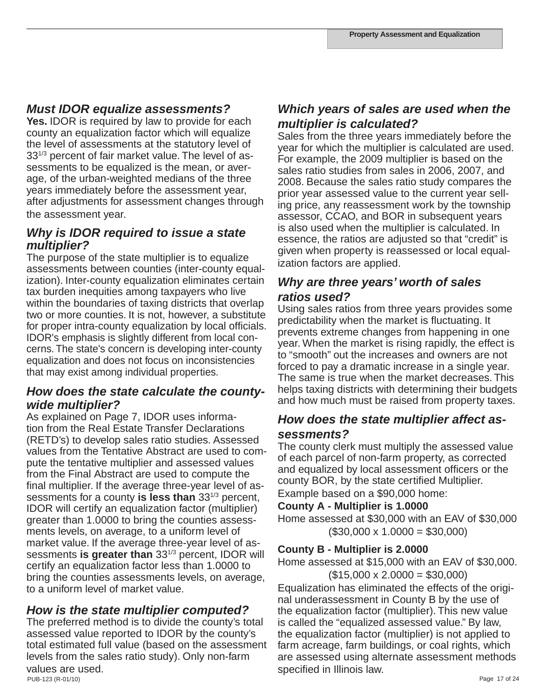## *Must IDOR equalize assessments?*

**Yes.** IDOR is required by law to provide for each county an equalization factor which will equalize the level of assessments at the statutory level of 331/3 percent of fair market value. The level of assessments to be equalized is the mean, or average, of the urban-weighted medians of the three years immediately before the assessment year, after adjustments for assessment changes through the assessment year.

## *Why is IDOR required to issue a state multiplier?*

The purpose of the state multiplier is to equalize assessments between counties (inter-county equalization). Inter-county equalization eliminates certain tax burden inequities among taxpayers who live within the boundaries of taxing districts that overlap two or more counties. It is not, however, a substitute for proper intra-county equalization by local officials. IDOR's emphasis is slightly different from local concerns. The state's concern is developing inter-county equalization and does not focus on inconsistencies that may exist among individual properties.

## *How does the state calculate the countywide multiplier?*

As explained on Page 7, IDOR uses information from the Real Estate Transfer Declarations (RETD's) to develop sales ratio studies. Assessed values from the Tentative Abstract are used to compute the tentative multiplier and assessed values from the Final Abstract are used to compute the final multiplier. If the average three-year level of assessments for a county **is less than** 331/3 percent, IDOR will certify an equalization factor (multiplier) greater than 1.0000 to bring the counties assessments levels, on average, to a uniform level of market value. If the average three-year level of assessments **is greater than** 331/3 percent, IDOR will certify an equalization factor less than 1.0000 to bring the counties assessments levels, on average, to a uniform level of market value.

## *How is the state multiplier computed?*

PUB-123 (R-01/10) Page 17 of 24 The preferred method is to divide the county's total assessed value reported to IDOR by the county's total estimated full value (based on the assessment levels from the sales ratio study). Only non-farm values are used.

## *Which years of sales are used when the multiplier is calculated?*

Sales from the three years immediately before the year for which the multiplier is calculated are used. For example, the 2009 multiplier is based on the sales ratio studies from sales in 2006, 2007, and 2008. Because the sales ratio study compares the prior year assessed value to the current year selling price, any reassessment work by the township assessor, CCAO, and BOR in subsequent years is also used when the multiplier is calculated. In essence, the ratios are adjusted so that "credit" is given when property is reassessed or local equalization factors are applied.

## *Why are three years' worth of sales ratios used?*

Using sales ratios from three years provides some predictability when the market is fluctuating. It prevents extreme changes from happening in one year. When the market is rising rapidly, the effect is to "smooth" out the increases and owners are not forced to pay a dramatic increase in a single year. The same is true when the market decreases. This helps taxing districts with determining their budgets and how much must be raised from property taxes.

## *How does the state multiplier affect assessments?*

The county clerk must multiply the assessed value of each parcel of non-farm property, as corrected and equalized by local assessment officers or the county BOR, by the state certified Multiplier. Example based on a \$90,000 home:

**County A - Multiplier is 1.0000** 

Home assessed at \$30,000 with an EAV of \$30,000  $($30,000 \times 1.0000 = $30,000)$ 

## **County B - Multiplier is 2.0000**

Home assessed at \$15,000 with an EAV of \$30,000.  $($15,000 \times 2.0000 = $30,000)$ 

Equalization has eliminated the effects of the original underassessment in County B by the use of the equalization factor (multiplier). This new value is called the "equalized assessed value." By law, the equalization factor (multiplier) is not applied to farm acreage, farm buildings, or coal rights, which are assessed using alternate assessment methods specified in Illinois law.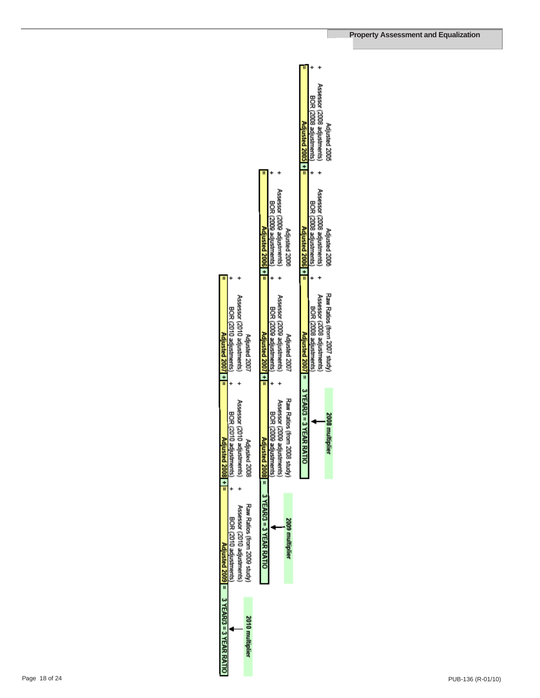|                                       |                                  |                                |                              |                                            |                                   |                             |                              | Adjusted 2005 +  =                      | BOR (2008 adjustments) | Assessor (2008 adjustments) | Adjusted 2005                |  |
|---------------------------------------|----------------------------------|--------------------------------|------------------------------|--------------------------------------------|-----------------------------------|-----------------------------|------------------------------|-----------------------------------------|------------------------|-----------------------------|------------------------------|--|
|                                       |                                  |                                |                              | Adjusted $2006$ + $=$                      | BOR (2009 adjustments)            | Assessor (2009 adjustments) | Adjusted 2008                | Adjusted 2006 +   =                     | BOR (2008 adjustments) | Assessor (2008 adjustments) | Adjusted 2008                |  |
| Adjusted $2007$ + $=$                 | BOR (2010 adjustments)           | Assessor (2010 adjustments)    | Adjusted 2007                | Adjusted $2007$ + =                        | BOR (2009 adjustments)            | Assessor (2009 adjustments) | Adjusted 2007                |                                         | BOR (2008 adjustments) | Assessor (2008 adjustments) | Raw Ratios (from 2007 study) |  |
| $divsted 2008 + =$                    | <b>BOR (2010</b><br>adjustments) | Assessor (2010<br>adjustments) | Adjusted 2008                |                                            | <b>BOR (2002)</b><br>adjustments) | Assessor (2009 adjustments) | Raw Ratios (from 2008 study) | Adjusted 2007 = 3 YEAR/3 = 3 YEAR RATIO |                        |                             | 2008 multiplier              |  |
|                                       | BOR (2010 adjustments)           | Assessor (2010 adjustments)    | Raw Ratios (from 2009 study) | $dived 2008$ = $3$ YEAR/3 = $3$ YEAR RATIO |                                   |                             | 2009 multiplier              |                                         |                        |                             |                              |  |
| Adjusted 2009 = 3 YEAR/3 = 3 YEAR RAT |                                  |                                | 2010 multiplier              |                                            |                                   |                             |                              |                                         |                        |                             |                              |  |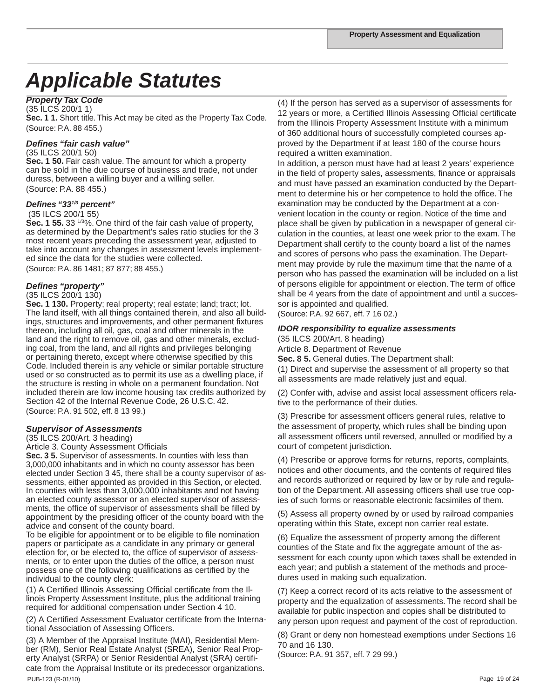# *Applicable Statutes*

#### *Property Tax Code*

(35 ILCS 200/1 1)

**Sec. 1 1.** Short title. This Act may be cited as the Property Tax Code. (Source: P.A. 88 455.)

#### *Defines "fair cash value"*

(35 ILCS 200/1 50)

**Sec. 1 50.** Fair cash value. The amount for which a property can be sold in the due course of business and trade, not under duress, between a willing buyer and a willing seller. (Source: P.A. 88 455.)

#### *Defines "331/3 percent"*

#### (35 ILCS 200/1 55)

**Sec. 1 55.** 33 1/3%. One third of the fair cash value of property, as determined by the Department's sales ratio studies for the 3 most recent years preceding the assessment year, adjusted to take into account any changes in assessment levels implemented since the data for the studies were collected.

(Source: P.A. 86 1481; 87 877; 88 455.)

#### *Defines "property"*

#### (35 ILCS 200/1 130)

**Sec. 1 130.** Property; real property; real estate; land; tract; lot. The land itself, with all things contained therein, and also all buildings, structures and improvements, and other permanent fixtures thereon, including all oil, gas, coal and other minerals in the land and the right to remove oil, gas and other minerals, excluding coal, from the land, and all rights and privileges belonging or pertaining thereto, except where otherwise specified by this Code. Included therein is any vehicle or similar portable structure used or so constructed as to permit its use as a dwelling place, if the structure is resting in whole on a permanent foundation. Not included therein are low income housing tax credits authorized by Section 42 of the Internal Revenue Code, 26 U.S.C. 42. (Source: P.A. 91 502, eff. 8 13 99.)

#### *Supervisor of Assessments*

(35 ILCS 200/Art. 3 heading)

Article 3. County Assessment Officials

**Sec. 3 5.** Supervisor of assessments. In counties with less than 3,000,000 inhabitants and in which no county assessor has been elected under Section 3 45, there shall be a county supervisor of assessments, either appointed as provided in this Section, or elected. In counties with less than 3,000,000 inhabitants and not having an elected county assessor or an elected supervisor of assessments, the office of supervisor of assessments shall be filled by appointment by the presiding officer of the county board with the advice and consent of the county board.

To be eligible for appointment or to be eligible to file nomination papers or participate as a candidate in any primary or general election for, or be elected to, the office of supervisor of assessments, or to enter upon the duties of the office, a person must possess one of the following qualifications as certified by the individual to the county clerk:

(1) A Certified Illinois Assessing Official certificate from the Illinois Property Assessment Institute, plus the additional training required for additional compensation under Section 4 10.

(2) A Certified Assessment Evaluator certificate from the International Association of Assessing Officers.

PUB-123 (R-01/10) Page 19 of 24 (3) A Member of the Appraisal Institute (MAI), Residential Member (RM), Senior Real Estate Analyst (SREA), Senior Real Property Analyst (SRPA) or Senior Residential Analyst (SRA) certificate from the Appraisal Institute or its predecessor organizations.

(4) If the person has served as a supervisor of assessments for 12 years or more, a Certified Illinois Assessing Official certificate from the Illinois Property Assessment Institute with a minimum of 360 additional hours of successfully completed courses approved by the Department if at least 180 of the course hours required a written examination.

In addition, a person must have had at least 2 years' experience in the field of property sales, assessments, finance or appraisals and must have passed an examination conducted by the Department to determine his or her competence to hold the office. The examination may be conducted by the Department at a convenient location in the county or region. Notice of the time and place shall be given by publication in a newspaper of general circulation in the counties, at least one week prior to the exam. The Department shall certify to the county board a list of the names and scores of persons who pass the examination. The Department may provide by rule the maximum time that the name of a person who has passed the examination will be included on a list of persons eligible for appointment or election. The term of office shall be 4 years from the date of appointment and until a successor is appointed and qualified.

(Source: P.A. 92 667, eff. 7 16 02.)

#### *IDOR responsibility to equalize assessments*

(35 ILCS 200/Art. 8 heading) Article 8. Department of Revenue

**Sec. 8 5.** General duties. The Department shall:

(1) Direct and supervise the assessment of all property so that all assessments are made relatively just and equal.

(2) Confer with, advise and assist local assessment officers relative to the performance of their duties.

(3) Prescribe for assessment officers general rules, relative to the assessment of property, which rules shall be binding upon all assessment officers until reversed, annulled or modified by a court of competent jurisdiction.

(4) Prescribe or approve forms for returns, reports, complaints, notices and other documents, and the contents of required files and records authorized or required by law or by rule and regulation of the Department. All assessing officers shall use true copies of such forms or reasonable electronic facsimiles of them.

(5) Assess all property owned by or used by railroad companies operating within this State, except non carrier real estate.

(6) Equalize the assessment of property among the different counties of the State and fix the aggregate amount of the assessment for each county upon which taxes shall be extended in each year; and publish a statement of the methods and procedures used in making such equalization.

(7) Keep a correct record of its acts relative to the assessment of property and the equalization of assessments. The record shall be available for public inspection and copies shall be distributed to any person upon request and payment of the cost of reproduction.

(8) Grant or deny non homestead exemptions under Sections 16 70 and 16 130.

(Source: P.A. 91 357, eff. 7 29 99.)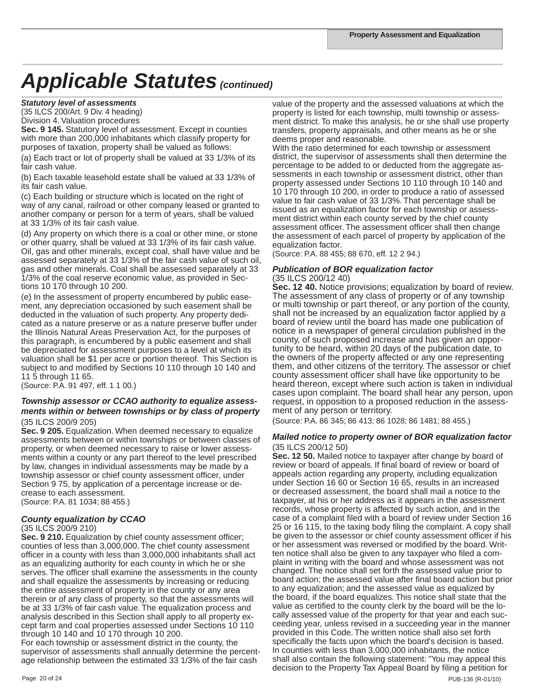#### *Statutory level of assessments*

(35 ILCS 200/Art. 9 Div. 4 heading)

Division 4. Valuation procedures

**Sec. 9 145.** Statutory level of assessment. Except in counties with more than 200,000 inhabitants which classify property for purposes of taxation, property shall be valued as follows:

(a) Each tract or lot of property shall be valued at 33 1/3% of its fair cash value.

(b) Each taxable leasehold estate shall be valued at 33 1/3% of its fair cash value.

(c) Each building or structure which is located on the right of way of any canal, railroad or other company leased or granted to another company or person for a term of years, shall be valued at 33 1/3% of its fair cash value.

(d) Any property on which there is a coal or other mine, or stone or other quarry, shall be valued at 33 1/3% of its fair cash value. Oil, gas and other minerals, except coal, shall have value and be assessed separately at 33 1/3% of the fair cash value of such oil, gas and other minerals. Coal shall be assessed separately at 33 1/3% of the coal reserve economic value, as provided in Sections 10 170 through 10 200.

(e) In the assessment of property encumbered by public easement, any depreciation occasioned by such easement shall be deducted in the valuation of such property. Any property dedicated as a nature preserve or as a nature preserve buffer under the Illinois Natural Areas Preservation Act, for the purposes of this paragraph, is encumbered by a public easement and shall be depreciated for assessment purposes to a level at which its valuation shall be \$1 per acre or portion thereof. This Section is subject to and modified by Sections 10 110 through 10 140 and 11 5 through 11 65.

(Source: P.A. 91 497, eff. 1 1 00.)

#### *Township assessor or CCAO authority to equalize assessments within or between townships or by class of property* (35 ILCS 200/9 205)

**Sec. 9 205.** Equalization. When deemed necessary to equalize assessments between or within townships or between classes of property, or when deemed necessary to raise or lower assessments within a county or any part thereof to the level prescribed by law, changes in individual assessments may be made by a township assessor or chief county assessment officer, under Section 9 75, by application of a percentage increase or decrease to each assessment. (Source: P.A. 81 1034; 88 455.)

#### *County equalization by CCAO*

#### (35 ILCS 200/9 210)

**Sec. 9 210.** Equalization by chief county assessment officer; counties of less than 3,000,000. The chief county assessment officer in a county with less than 3,000,000 inhabitants shall act as an equalizing authority for each county in which he or she serves. The officer shall examine the assessments in the county and shall equalize the assessments by increasing or reducing the entire assessment of property in the county or any area therein or of any class of property, so that the assessments will be at 33 1/3% of fair cash value. The equalization process and analysis described in this Section shall apply to all property except farm and coal properties assessed under Sections 10 110 through 10 140 and 10 170 through 10 200.

For each township or assessment district in the county, the supervisor of assessments shall annually determine the percentage relationship between the estimated 33 1/3% of the fair cash

value of the property and the assessed valuations at which the property is listed for each township, multi township or assessment district. To make this analysis, he or she shall use property transfers, property appraisals, and other means as he or she deems proper and reasonable.

With the ratio determined for each township or assessment district, the supervisor of assessments shall then determine the percentage to be added to or deducted from the aggregate assessments in each township or assessment district, other than property assessed under Sections 10 110 through 10 140 and 10 170 through 10 200, in order to produce a ratio of assessed value to fair cash value of 33 1/3%. That percentage shall be issued as an equalization factor for each township or assessment district within each county served by the chief county assessment officer. The assessment officer shall then change the assessment of each parcel of property by application of the equalization factor.

(Source: P.A. 88 455; 88 670, eff. 12 2 94.)

#### *Publication of BOR equalization factor*  (35 ILCS 200/12 40)

**Sec. 12 40.** Notice provisions; equalization by board of review. The assessment of any class of property or of any township or multi township or part thereof, or any portion of the county, shall not be increased by an equalization factor applied by a board of review until the board has made one publication of notice in a newspaper of general circulation published in the county, of such proposed increase and has given an opportunity to be heard, within 20 days of the publication date, to the owners of the property affected or any one representing them, and other citizens of the territory. The assessor or chief county assessment officer shall have like opportunity to be heard thereon, except where such action is taken in individual cases upon complaint. The board shall hear any person, upon request, in opposition to a proposed reduction in the assessment of any person or territory.

(Source: P.A. 86 345; 86 413; 86 1028; 86 1481; 88 455.)

#### *Mailed notice to property owner of BOR equalization factor* (35 ILCS 200/12 50)

**Sec. 12 50.** Mailed notice to taxpayer after change by board of review or board of appeals. If final board of review or board of appeals action regarding any property, including equalization under Section 16 60 or Section 16 65, results in an increased or decreased assessment, the board shall mail a notice to the taxpayer, at his or her address as it appears in the assessment records, whose property is affected by such action, and in the case of a complaint filed with a board of review under Section 16 25 or 16 115, to the taxing body filing the complaint. A copy shall be given to the assessor or chief county assessment officer if his or her assessment was reversed or modified by the board. Written notice shall also be given to any taxpayer who filed a complaint in writing with the board and whose assessment was not changed. The notice shall set forth the assessed value prior to board action; the assessed value after final board action but prior to any equalization; and the assessed value as equalized by the board, if the board equalizes. This notice shall state that the value as certified to the county clerk by the board will be the locally assessed value of the property for that year and each succeeding year, unless revised in a succeeding year in the manner provided in this Code. The written notice shall also set forth specifically the facts upon which the board's decision is based. In counties with less than 3,000,000 inhabitants, the notice shall also contain the following statement: "You may appeal this decision to the Property Tax Appeal Board by filing a petition for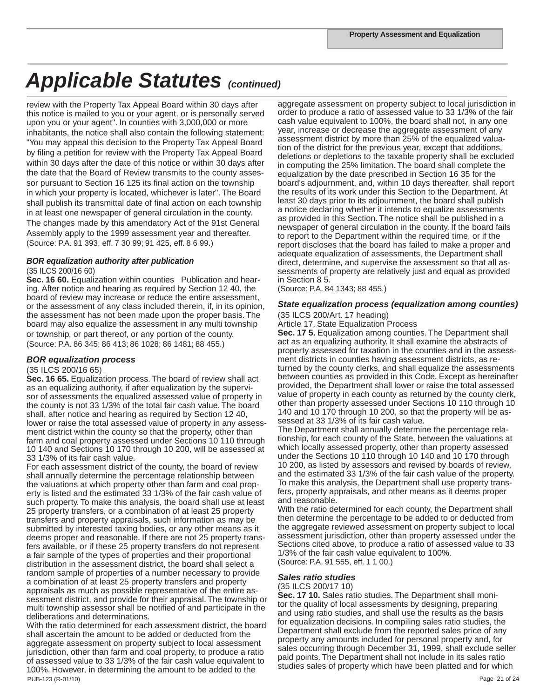review with the Property Tax Appeal Board within 30 days after this notice is mailed to you or your agent, or is personally served upon you or your agent". In counties with 3,000,000 or more inhabitants, the notice shall also contain the following statement: "You may appeal this decision to the Property Tax Appeal Board by filing a petition for review with the Property Tax Appeal Board within 30 days after the date of this notice or within 30 days after the date that the Board of Review transmits to the county assessor pursuant to Section 16 125 its final action on the township in which your property is located, whichever is later". The Board shall publish its transmittal date of final action on each township in at least one newspaper of general circulation in the county. The changes made by this amendatory Act of the 91st General Assembly apply to the 1999 assessment year and thereafter. (Source: P.A. 91 393, eff. 7 30 99; 91 425, eff. 8 6 99.)

#### *BOR equalization authority after publication*

#### (35 ILCS 200/16 60)

**Sec. 16 60.** Equalization within counties Publication and hearing. After notice and hearing as required by Section 12 40, the board of review may increase or reduce the entire assessment, or the assessment of any class included therein, if, in its opinion, the assessment has not been made upon the proper basis. The board may also equalize the assessment in any multi township or township, or part thereof, or any portion of the county. (Source: P.A. 86 345; 86 413; 86 1028; 86 1481; 88 455.)

#### *BOR equalization process*

#### (35 ILCS 200/16 65)

**Sec. 16 65.** Equalization process. The board of review shall act as an equalizing authority, if after equalization by the supervisor of assessments the equalized assessed value of property in the county is not 33 1/3% of the total fair cash value. The board shall, after notice and hearing as required by Section 12 40, lower or raise the total assessed value of property in any assessment district within the county so that the property, other than farm and coal property assessed under Sections 10 110 through 10 140 and Sections 10 170 through 10 200, will be assessed at 33 1/3% of its fair cash value.

For each assessment district of the county, the board of review shall annually determine the percentage relationship between the valuations at which property other than farm and coal property is listed and the estimated 33 1/3% of the fair cash value of such property. To make this analysis, the board shall use at least 25 property transfers, or a combination of at least 25 property transfers and property appraisals, such information as may be submitted by interested taxing bodies, or any other means as it deems proper and reasonable. If there are not 25 property transfers available, or if these 25 property transfers do not represent a fair sample of the types of properties and their proportional distribution in the assessment district, the board shall select a random sample of properties of a number necessary to provide a combination of at least 25 property transfers and property appraisals as much as possible representative of the entire assessment district, and provide for their appraisal. The township or multi township assessor shall be notified of and participate in the deliberations and determinations.

PUB-123 (R-01/10) Page 21 of 24 With the ratio determined for each assessment district, the board shall ascertain the amount to be added or deducted from the aggregate assessment on property subject to local assessment jurisdiction, other than farm and coal property, to produce a ratio of assessed value to 33 1/3% of the fair cash value equivalent to 100%. However, in determining the amount to be added to the

aggregate assessment on property subject to local jurisdiction in order to produce a ratio of assessed value to 33 1/3% of the fair cash value equivalent to 100%, the board shall not, in any one year, increase or decrease the aggregate assessment of any assessment district by more than 25% of the equalized valuation of the district for the previous year, except that additions, deletions or depletions to the taxable property shall be excluded in computing the 25% limitation. The board shall complete the equalization by the date prescribed in Section 16 35 for the board's adjournment, and, within 10 days thereafter, shall report the results of its work under this Section to the Department. At least 30 days prior to its adjournment, the board shall publish a notice declaring whether it intends to equalize assessments as provided in this Section. The notice shall be published in a newspaper of general circulation in the county. If the board fails to report to the Department within the required time, or if the report discloses that the board has failed to make a proper and adequate equalization of assessments, the Department shall direct, determine, and supervise the assessment so that all assessments of property are relatively just and equal as provided in Section 8 5.

(Source: P.A. 84 1343; 88 455.)

#### *State equalization process (equalization among counties)*

(35 ILCS 200/Art. 17 heading) Article 17. State Equalization Process

**Sec. 17 5.** Equalization among counties. The Department shall act as an equalizing authority. It shall examine the abstracts of property assessed for taxation in the counties and in the assessment districts in counties having assessment districts, as returned by the county clerks, and shall equalize the assessments between counties as provided in this Code. Except as hereinafter provided, the Department shall lower or raise the total assessed value of property in each county as returned by the county clerk, other than property assessed under Sections 10 110 through 10 140 and 10 170 through 10 200, so that the property will be assessed at 33 1/3% of its fair cash value.

The Department shall annually determine the percentage relationship, for each county of the State, between the valuations at which locally assessed property, other than property assessed under the Sections 10 110 through 10 140 and 10 170 through 10 200, as listed by assessors and revised by boards of review, and the estimated 33 1/3% of the fair cash value of the property. To make this analysis, the Department shall use property transfers, property appraisals, and other means as it deems proper and reasonable.

With the ratio determined for each county, the Department shall then determine the percentage to be added to or deducted from the aggregate reviewed assessment on property subject to local assessment jurisdiction, other than property assessed under the Sections cited above, to produce a ratio of assessed value to 33 1/3% of the fair cash value equivalent to 100%. (Source: P.A. 91 555, eff. 1 1 00.)

#### *Sales ratio studies*

#### (35 ILCS 200/17 10)

**Sec. 17 10.** Sales ratio studies. The Department shall monitor the quality of local assessments by designing, preparing and using ratio studies, and shall use the results as the basis for equalization decisions. In compiling sales ratio studies, the Department shall exclude from the reported sales price of any property any amounts included for personal property and, for sales occurring through December 31, 1999, shall exclude seller paid points. The Department shall not include in its sales ratio studies sales of property which have been platted and for which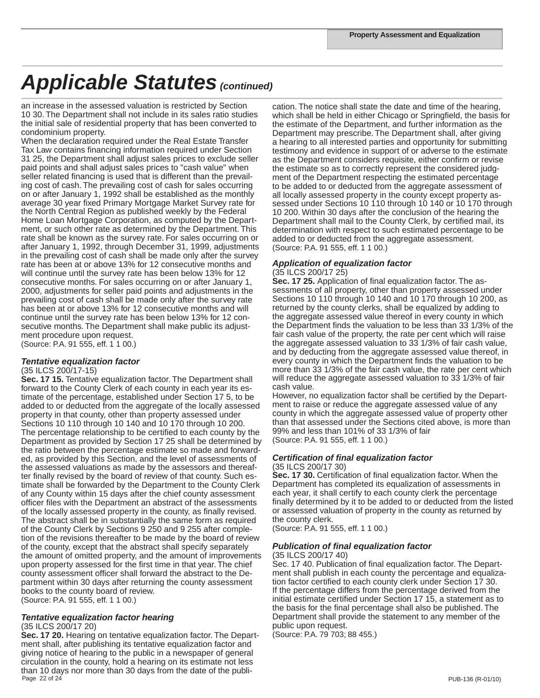an increase in the assessed valuation is restricted by Section 10 30. The Department shall not include in its sales ratio studies the initial sale of residential property that has been converted to condominium property.

When the declaration required under the Real Estate Transfer Tax Law contains financing information required under Section 31 25, the Department shall adjust sales prices to exclude seller paid points and shall adjust sales prices to "cash value" when seller related financing is used that is different than the prevailing cost of cash. The prevailing cost of cash for sales occurring on or after January 1, 1992 shall be established as the monthly average 30 year fixed Primary Mortgage Market Survey rate for the North Central Region as published weekly by the Federal Home Loan Mortgage Corporation, as computed by the Department, or such other rate as determined by the Department. This rate shall be known as the survey rate. For sales occurring on or after January 1, 1992, through December 31, 1999, adjustments in the prevailing cost of cash shall be made only after the survey rate has been at or above 13% for 12 consecutive months and will continue until the survey rate has been below 13% for 12 consecutive months. For sales occurring on or after January 1, 2000, adjustments for seller paid points and adjustments in the prevailing cost of cash shall be made only after the survey rate has been at or above 13% for 12 consecutive months and will continue until the survey rate has been below 13% for 12 consecutive months. The Department shall make public its adjustment procedure upon request. (Source: P.A. 91 555, eff. 1 1 00.)

#### *Tentative equalization factor* (35 ILCS 200/17-15)

**Sec. 17 15.** Tentative equalization factor. The Department shall forward to the County Clerk of each county in each year its estimate of the percentage, established under Section 17 5, to be added to or deducted from the aggregate of the locally assessed property in that county, other than property assessed under Sections 10 110 through 10 140 and 10 170 through 10 200. The percentage relationship to be certified to each county by the Department as provided by Section 17 25 shall be determined by the ratio between the percentage estimate so made and forwarded, as provided by this Section, and the level of assessments of the assessed valuations as made by the assessors and thereafter finally revised by the board of review of that county. Such estimate shall be forwarded by the Department to the County Clerk of any County within 15 days after the chief county assessment officer files with the Department an abstract of the assessments of the locally assessed property in the county, as finally revised. The abstract shall be in substantially the same form as required of the County Clerk by Sections 9 250 and 9 255 after completion of the revisions thereafter to be made by the board of review of the county, except that the abstract shall specify separately the amount of omitted property, and the amount of improvements upon property assessed for the first time in that year. The chief county assessment officer shall forward the abstract to the Department within 30 days after returning the county assessment books to the county board of review. (Source: P.A. 91 555, eff. 1 1 00.)

# *Tentative equalization factor hearing* (35 ILCS 200/17 20)

Page 22 of 24 PUB-136 (R-01/10) **Sec. 17 20.** Hearing on tentative equalization factor. The Department shall, after publishing its tentative equalization factor and giving notice of hearing to the public in a newspaper of general circulation in the county, hold a hearing on its estimate not less than 10 days nor more than 30 days from the date of the publi-

cation. The notice shall state the date and time of the hearing, which shall be held in either Chicago or Springfield, the basis for the estimate of the Department, and further information as the Department may prescribe. The Department shall, after giving a hearing to all interested parties and opportunity for submitting testimony and evidence in support of or adverse to the estimate as the Department considers requisite, either confirm or revise the estimate so as to correctly represent the considered judgment of the Department respecting the estimated percentage to be added to or deducted from the aggregate assessment of all locally assessed property in the county except property assessed under Sections 10 110 through 10 140 or 10 170 through 10 200. Within 30 days after the conclusion of the hearing the Department shall mail to the County Clerk, by certified mail, its determination with respect to such estimated percentage to be added to or deducted from the aggregate assessment. (Source: P.A. 91 555, eff. 1 1 00.)

#### *Application of equalization factor*

#### (35 ILCS 200/17 25)

**Sec. 17 25.** Application of final equalization factor. The assessments of all property, other than property assessed under Sections 10 110 through 10 140 and 10 170 through 10 200, as returned by the county clerks, shall be equalized by adding to the aggregate assessed value thereof in every county in which the Department finds the valuation to be less than 33 1/3% of the fair cash value of the property, the rate per cent which will raise the aggregate assessed valuation to 33 1/3% of fair cash value, and by deducting from the aggregate assessed value thereof, in every county in which the Department finds the valuation to be more than 33 1/3% of the fair cash value, the rate per cent which will reduce the aggregate assessed valuation to 33 1/3% of fair cash value.

However, no equalization factor shall be certified by the Department to raise or reduce the aggregate assessed value of any county in which the aggregate assessed value of property other than that assessed under the Sections cited above, is more than 99% and less than 101% of 33 1/3% of fair (Source: P.A. 91 555, eff. 1 1 00.)

# *Certification of final equalization factor* (35 ILCS 200/17 30)

**Sec. 17 30.** Certification of final equalization factor. When the Department has completed its equalization of assessments in each year, it shall certify to each county clerk the percentage finally determined by it to be added to or deducted from the listed or assessed valuation of property in the county as returned by the county clerk.

(Source: P.A. 91 555, eff. 1 1 00.)

# *Publication of final equalization factor* (35 ILCS 200/17 40)

Sec. 17 40. Publication of final equalization factor. The Department shall publish in each county the percentage and equalization factor certified to each county clerk under Section 17 30. If the percentage differs from the percentage derived from the initial estimate certified under Section 17 15, a statement as to the basis for the final percentage shall also be published. The Department shall provide the statement to any member of the public upon request.

(Source: P.A. 79 703; 88 455.)